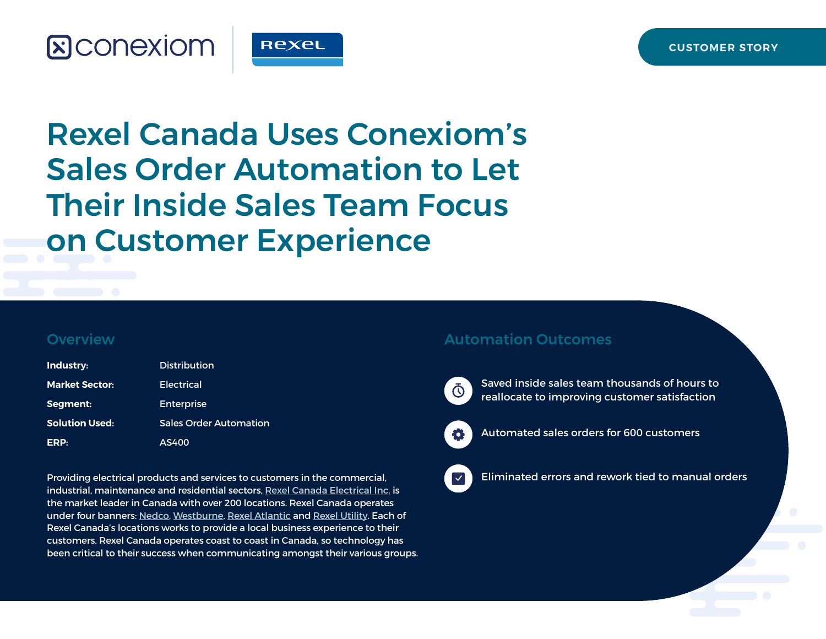

Rexel Canada Uses Conexiom's Sales Order Automation to Let Their Inside Sales Team Focus on Customer Experience

#### **Overview**

| Industry:             | <b>Distribution</b>           |
|-----------------------|-------------------------------|
| <b>Market Sector:</b> | Electrical                    |
| Segment:              | Enterprise                    |
| <b>Solution Used:</b> | <b>Sales Order Automation</b> |
| ERP:                  | AS400                         |

Providing electrical products and services to customers in the commercial, industrial, maintenance and residential sectors, [Rexel Canada Electrical Inc.](https://rexel.ca/) is the market leader in Canada with over 200 locations. Rexel Canada operates under four banners: [Nedco](https://www.nedco.ca/cnd/), [Westburne](https://www.westburne.ca/cwr/), [Rexel Atlantic](https://atlantic.rexel.ca/cra/) and [Rexel Utility](https://rexelutility.ca/). Each of Rexel Canada's locations works to provide a local business experience to their customers. Rexel Canada operates coast to coast in Canada, so technology has been critical to their success when communicating amongst their various groups.

#### Automation Outcomes



Saved inside sales team thousands of hours to reallocate to improving customer satisfaction



Automated sales orders for 600 customers



Eliminated errors and rework tied to manual orders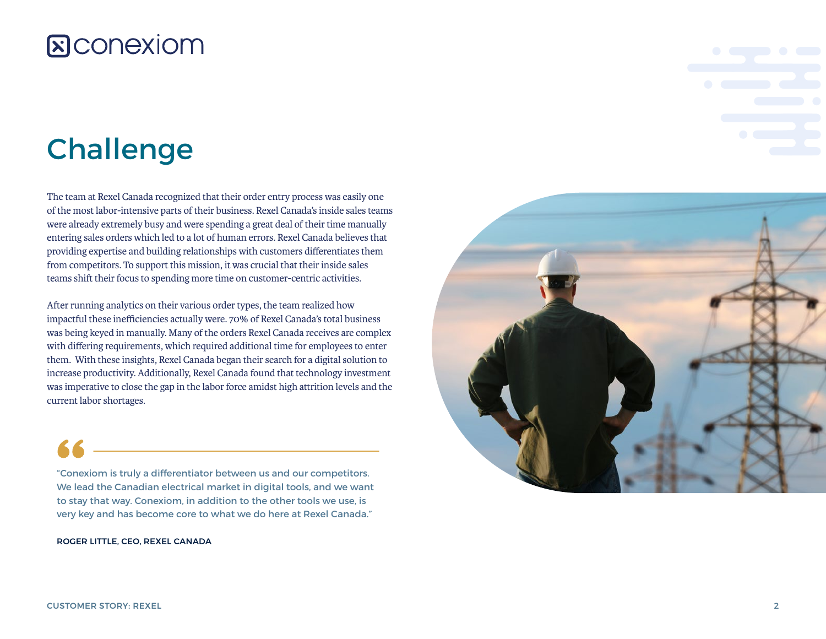# Challenge

The team at Rexel Canada recognized that their order entry process was easily one of the most labor-intensive parts of their business. Rexel Canada's inside sales teams were already extremely busy and were spending a great deal of their time manually entering sales orders which led to a lot of human errors. Rexel Canada believes that providing expertise and building relationships with customers differentiates them from competitors. To support this mission, it was crucial that their inside sales teams shift their focus to spending more time on customer-centric activities.

After running analytics on their various order types, the team realized how impactful these inefficiencies actually were. 70% of Rexel Canada's total business was being keyed in manually. Many of the orders Rexel Canada receives are complex with differing requirements, which required additional time for employees to enter them. With these insights, Rexel Canada began their search for a digital solution to increase productivity. Additionally, Rexel Canada found that technology investment was imperative to close the gap in the labor force amidst high attrition levels and the current labor shortages.

"Conexiom is truly a differentiator between us and our competitors. We lead the Canadian electrical market in digital tools, and we want to stay that way. Conexiom, in addition to the other tools we use, is very key and has become core to what we do here at Rexel Canada."

ROGER LITTLE, CEO, REXEL CANADA

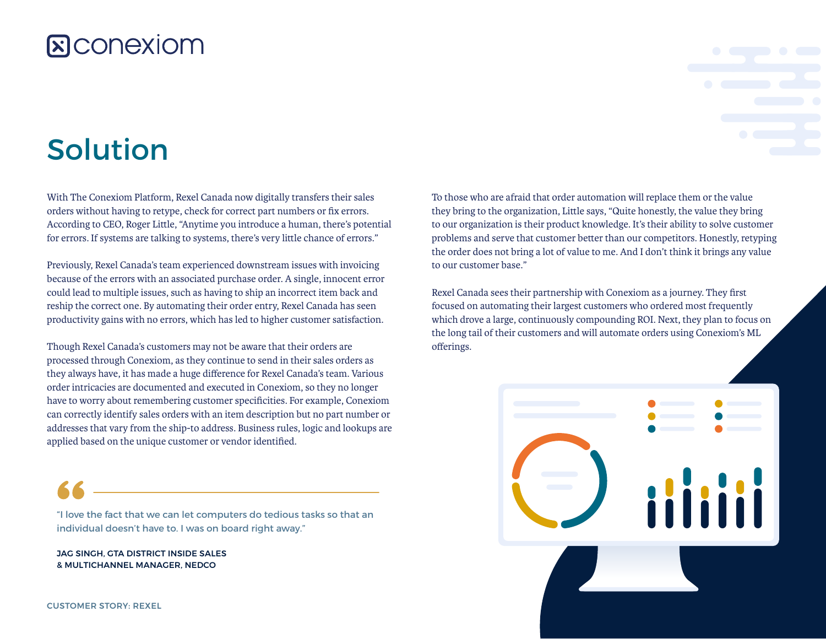#### **R**CONEXIOM

# Solution

With The Conexiom Platform, Rexel Canada now digitally transfers their sales orders without having to retype, check for correct part numbers or fix errors. According to CEO, Roger Little, "Anytime you introduce a human, there's potential for errors. If systems are talking to systems, there's very little chance of errors."

Previously, Rexel Canada's team experienced downstream issues with invoicing because of the errors with an associated purchase order. A single, innocent error could lead to multiple issues, such as having to ship an incorrect item back and reship the correct one. By automating their order entry, Rexel Canada has seen productivity gains with no errors, which has led to higher customer satisfaction.

Though Rexel Canada's customers may not be aware that their orders are processed through Conexiom, as they continue to send in their sales orders as they always have, it has made a huge difference for Rexel Canada's team. Various order intricacies are documented and executed in Conexiom, so they no longer have to worry about remembering customer specificities. For example, Conexiom can correctly identify sales orders with an item description but no part number or addresses that vary from the ship-to address. Business rules, logic and lookups are applied based on the unique customer or vendor identified.

"I love the fact that we can let computers do tedious tasks so that an individual doesn't have to. I was on board right away."

JAG SINGH, GTA DISTRICT INSIDE SALES & MULTICHANNEL MANAGER, NEDCO

To those who are afraid that order automation will replace them or the value they bring to the organization, Little says, "Quite honestly, the value they bring to our organization is their product knowledge. It's their ability to solve customer problems and serve that customer better than our competitors. Honestly, retyping the order does not bring a lot of value to me. And I don't think it brings any value to our customer base."

Rexel Canada sees their partnership with Conexiom as a journey. They first focused on automating their largest customers who ordered most frequently which drove a large, continuously compounding ROI. Next, they plan to focus on the long tail of their customers and will automate orders using Conexiom's ML offerings.

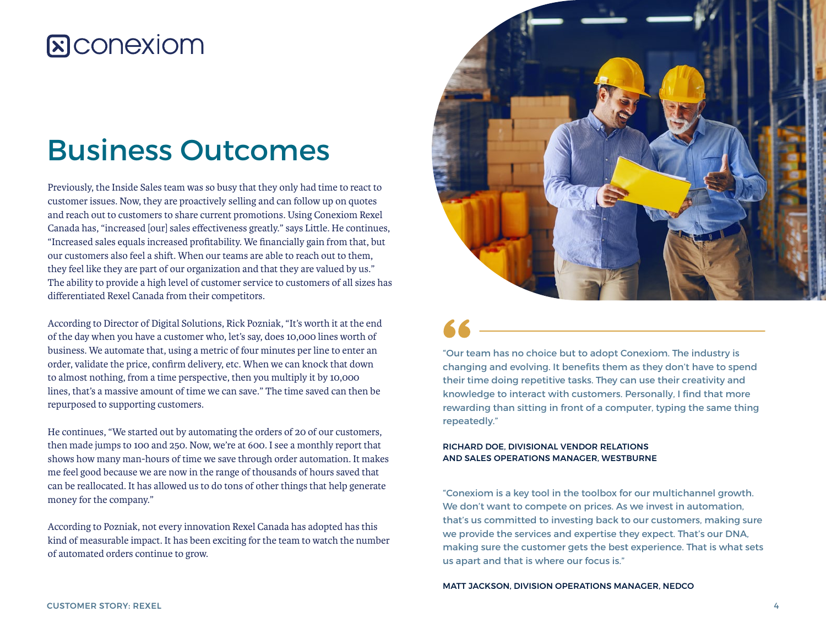### Business Outcomes

Previously, the Inside Sales team was so busy that they only had time to react to customer issues. Now, they are proactively selling and can follow up on quotes and reach out to customers to share current promotions. Using Conexiom Rexel Canada has, "increased [our] sales effectiveness greatly." says Little. He continues, "Increased sales equals increased profitability. We financially gain from that, but our customers also feel a shift. When our teams are able to reach out to them, they feel like they are part of our organization and that they are valued by us." The ability to provide a high level of customer service to customers of all sizes has differentiated Rexel Canada from their competitors.

According to Director of Digital Solutions, Rick Pozniak, "It's worth it at the end of the day when you have a customer who, let's say, does 10,000 lines worth of business. We automate that, using a metric of four minutes per line to enter an order, validate the price, confirm delivery, etc. When we can knock that down to almost nothing, from a time perspective, then you multiply it by 10,000 lines, that's a massive amount of time we can save." The time saved can then be repurposed to supporting customers.

He continues, "We started out by automating the orders of 20 of our customers, then made jumps to 100 and 250. Now, we're at 600. I see a monthly report that shows how many man-hours of time we save through order automation. It makes me feel good because we are now in the range of thousands of hours saved that can be reallocated. It has allowed us to do tons of other things that help generate money for the company."

According to Pozniak, not every innovation Rexel Canada has adopted has this kind of measurable impact. It has been exciting for the team to watch the number of automated orders continue to grow.



"Our team has no choice but to adopt Conexiom. The industry is changing and evolving. It benefits them as they don't have to spend their time doing repetitive tasks. They can use their creativity and knowledge to interact with customers. Personally, I find that more rewarding than sitting in front of a computer, typing the same thing repeatedly."

#### RICHARD DOE, DIVISIONAL VENDOR RELATIONS AND SALES OPERATIONS MANAGER, WESTBURNE

"Conexiom is a key tool in the toolbox for our multichannel growth. We don't want to compete on prices. As we invest in automation, that's us committed to investing back to our customers, making sure we provide the services and expertise they expect. That's our DNA, making sure the customer gets the best experience. That is what sets us apart and that is where our focus is."

MATT JACKSON, DIVISION OPERATIONS MANAGER, NEDCO